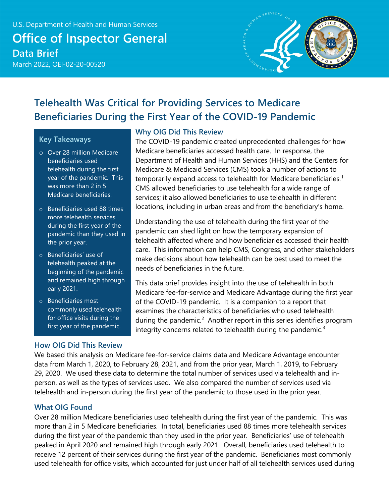

# **Telehealth Was Critical for Providing Services to Medicare Beneficiaries During the First Year of the COVID-19 Pandemic**

#### **Key Takeaways**

- o Over 28 million Medicare beneficiaries used telehealth during the first year of the pandemic. This was more than 2 in 5 Medicare beneficiaries.
- o Beneficiaries used 88 times more telehealth services during the first year of the pandemic than they used in the prior year.
- o Beneficiaries' use of telehealth peaked at the beginning of the pandemic and remained high through early 2021.
- o Beneficiaries most commonly used telehealth for office visits during the first year of the pandemic.

#### **How OIG Did This Review**

#### **Why OIG Did This Review**

The COVID-19 pandemic created unprecedented challenges for how Medicare beneficiaries accessed health care. In response, the Department of Health and Human Services (HHS) and the Centers for Medicare & Medicaid Services (CMS) took a number of actions to temporarily expand access to telehealth for Medicare beneficiaries.<sup>[1](#page-18-0)</sup> CMS allowed beneficiaries to use telehealth for a wide range of services; it also allowed beneficiaries to use telehealth in different locations, including in urban areas and from the beneficiary's home.

Understanding the use of telehealth during the first year of the pandemic can shed light on how the temporary expansion of telehealth affected where and how beneficiaries accessed their health care. This information can help CMS, Congress, and other stakeholders make decisions about how telehealth can be best used to meet the needs of beneficiaries in the future.

This data brief provides insight into the use of telehealth in both Medicare fee-for-service and Medicare Advantage during the first year of the COVID-19 pandemic. It is a companion to a report that examines the characteristics of beneficiaries who used telehealth during the pandemic.<sup>[2](#page-18-1)</sup> Another report in this series identifies program integrity concerns related to telehealth during the pandemic.<sup>[3](#page-18-2)</sup>

We based this analysis on Medicare fee-for-service claims data and Medicare Advantage encounter data from March 1, 2020, to February 28, 2021, and from the prior year, March 1, 2019, to February 29, 2020. We used these data to determine the total number of services used via telehealth and inperson, as well as the types of services used. We also compared the number of services used via telehealth and in-person during the first year of the pandemic to those used in the prior year.

#### **What OIG Found**

Over 28 million Medicare beneficiaries used telehealth during the first year of the pandemic. This was more than 2 in 5 Medicare beneficiaries. In total, beneficiaries used 88 times more telehealth services during the first year of the pandemic than they used in the prior year. Beneficiaries' use of telehealth peaked in April 2020 and remained high through early 2021. Overall, beneficiaries used telehealth to receive 12 percent of their services during the first year of the pandemic. Beneficiaries most commonly used telehealth for office visits, which accounted for just under half of all telehealth services used during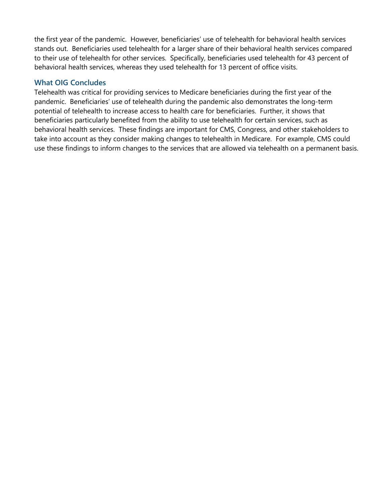the first year of the pandemic. However, beneficiaries' use of telehealth for behavioral health services stands out. Beneficiaries used telehealth for a larger share of their behavioral health services compared to their use of telehealth for other services. Specifically, beneficiaries used telehealth for 43 percent of behavioral health services, whereas they used telehealth for 13 percent of office visits.

#### **What OIG Concludes**

Telehealth was critical for providing services to Medicare beneficiaries during the first year of the pandemic. Beneficiaries' use of telehealth during the pandemic also demonstrates the long-term potential of telehealth to increase access to health care for beneficiaries. Further, it shows that beneficiaries particularly benefited from the ability to use telehealth for certain services, such as behavioral health services. These findings are important for CMS, Congress, and other stakeholders to take into account as they consider making changes to telehealth in Medicare. For example, CMS could use these findings to inform changes to the services that are allowed via telehealth on a permanent basis.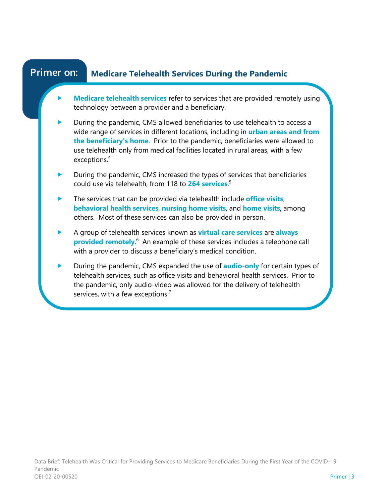#### **Medicare Telehealth Services During the Pandemic Primer on:**

- **Medicare telehealth services** refer to services that are provided remotely using technology between a provider and a beneficiary.
- During the pandemic, CMS allowed beneficiaries to use telehealth to access a wide range of services in different locations, including in **urban areas and from the beneficiary's home**. Prior to the pandemic, beneficiaries were allowed to use telehealth only from medical facilities located in rural areas, with a few exceptions.<sup>4</sup>
- During the pandemic, CMS increased the types of services that beneficiaries could use via telehealth, from 118 to **264 services**. 5
- **The services that can be provided via telehealth include office visits, behavioral health services**, **nursing home visits**, and **home visits**, among others. Most of these services can also be provided in person.
- A group of telehealth services known as **virtual care services** are **always provided remotely.**<sup>6</sup> An example of these services includes a telephone call with a provider to discuss a beneficiary's medical condition.
- During the pandemic, CMS expanded the use of **audio-only** for certain types of telehealth services, such as office visits and behavioral health services. Prior to the pandemic, only audio-video was allowed for the delivery of telehealth services, with a few exceptions.<sup>7</sup>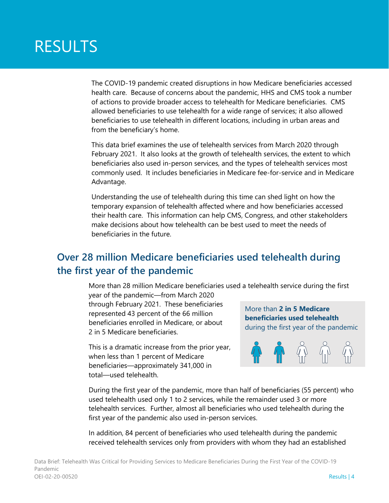# RESULTS

The COVID-19 pandemic created disruptions in how Medicare beneficiaries accessed health care. Because of concerns about the pandemic, HHS and CMS took a number of actions to provide broader access to telehealth for Medicare beneficiaries. CMS allowed beneficiaries to use telehealth for a wide range of services; it also allowed beneficiaries to use telehealth in different locations, including in urban areas and from the beneficiary's home.

This data brief examines the use of telehealth services from March 2020 through February 2021. It also looks at the growth of telehealth services, the extent to which beneficiaries also used in-person services, and the types of telehealth services most commonly used. It includes beneficiaries in Medicare fee-for-service and in Medicare Advantage.

Understanding the use of telehealth during this time can shed light on how the temporary expansion of telehealth affected where and how beneficiaries accessed their health care. This information can help CMS, Congress, and other stakeholders make decisions about how telehealth can be best used to meet the needs of beneficiaries in the future.

### **Over 28 million Medicare beneficiaries used telehealth during the first year of the pandemic**

More than 28 million Medicare beneficiaries used a telehealth service during the first

year of the pandemic—from March 2020 through February 2021. These beneficiaries represented 43 percent of the 66 million beneficiaries enrolled in Medicare, or about 2 in 5 Medicare beneficiaries.

This is a dramatic increase from the prior year, when less than 1 percent of Medicare beneficiaries—approximately 341,000 in total—used telehealth.

More than **2 in 5 Medicare beneficiaries used telehealth** during the first year of the pandemic



During the first year of the pandemic, more than half of beneficiaries (55 percent) who used telehealth used only 1 to 2 services, while the remainder used 3 or more telehealth services. Further, almost all beneficiaries who used telehealth during the first year of the pandemic also used in-person services.

In addition, 84 percent of beneficiaries who used telehealth during the pandemic received telehealth services only from providers with whom they had an established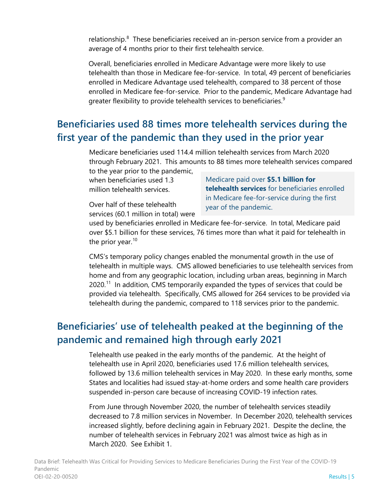relationship.<sup>[8](#page-18-7)</sup> These beneficiaries received an in-person service from a provider an average of 4 months prior to their first telehealth service.

Overall, beneficiaries enrolled in Medicare Advantage were more likely to use telehealth than those in Medicare fee-for-service. In total, 49 percent of beneficiaries enrolled in Medicare Advantage used telehealth, compared to 38 percent of those enrolled in Medicare fee-for-service. Prior to the pandemic, Medicare Advantage had greater flexibility to provide telehealth services to beneficiaries.<sup>[9](#page-18-8)</sup>

### **Beneficiaries used 88 times more telehealth services during the first year of the pandemic than they used in the prior year**

Medicare beneficiaries used 114.4 million telehealth services from March 2020 through February 2021. This amounts to 88 times more telehealth services compared to the year prior to the pandemic,

when beneficiaries used 1.3 million telehealth services.

Medicare paid over **\$5.1 billion for telehealth services** for beneficiaries enrolled in Medicare fee-for-service during the first year of the pandemic.

Over half of these telehealth services (60.1 million in total) were

used by beneficiaries enrolled in Medicare fee-for-service. In total, Medicare paid over \$5.1 billion for these services, 76 times more than what it paid for telehealth in the prior year. [10](#page-18-9)

CMS's temporary policy changes enabled the monumental growth in the use of telehealth in multiple ways. CMS allowed beneficiaries to use telehealth services from home and from any geographic location, including urban areas, beginning in March  $2020$ <sup>[11](#page-18-10)</sup> In addition, CMS temporarily expanded the types of services that could be provided via telehealth. Specifically, CMS allowed for 264 services to be provided via telehealth during the pandemic, compared to 118 services prior to the pandemic.

### **Beneficiaries' use of telehealth peaked at the beginning of the pandemic and remained high through early 2021**

Telehealth use peaked in the early months of the pandemic. At the height of telehealth use in April 2020, beneficiaries used 17.6 million telehealth services, followed by 13.6 million telehealth services in May 2020. In these early months, some States and localities had issued stay-at-home orders and some health care providers suspended in-person care because of increasing COVID-19 infection rates.

From June through November 2020, the number of telehealth services steadily decreased to 7.8 million services in November. In December 2020, telehealth services increased slightly, before declining again in February 2021. Despite the decline, the number of telehealth services in February 2021 was almost twice as high as in March 2020. See Exhibit 1.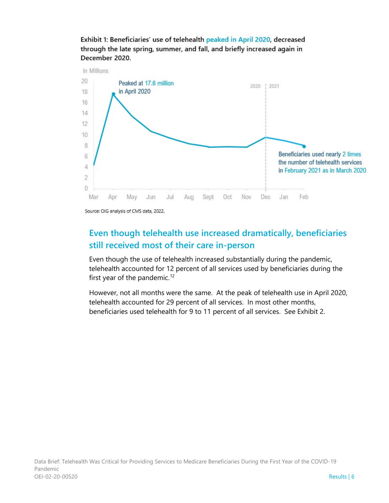

Exhibit 1: Beneficiaries' use of telehealth peaked in April 2020, decreased through the late spring, summer, and fall, and briefly increased again in December 2020.

#### **Even though telehealth use increased dramatically, beneficiaries still received most of their care in-person**

Even though the use of telehealth increased substantially during the pandemic, telehealth accounted for 12 percent of all services used by beneficiaries during the first year of the pandemic.<sup>12</sup>

However, not all months were the same. At the peak of telehealth use in April 2020, telehealth accounted for 29 percent of all services. In most other months, beneficiaries used telehealth for 9 to 11 percent of all services. See Exhibit 2.

Source: OIG analysis of CMS data, 2022.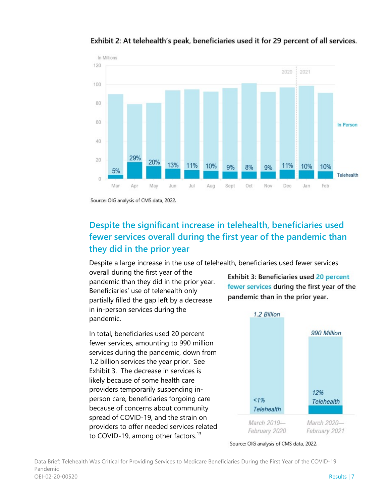

Exhibit 2: At telehealth's peak, beneficiaries used it for 29 percent of all services.

Source: OIG analysis of CMS data, 2022.

### **Despite the significant increase in telehealth, beneficiaries used fewer services overall during the first year of the pandemic than they did in the prior year**

Despite a large increase in the use of telehealth, beneficiaries used fewer services

overall during the first year of the pandemic than they did in the prior year. Beneficiaries' use of telehealth only partially filled the gap left by a decrease in in-person services during the pandemic.

In total, beneficiaries used 20 percent fewer services, amounting to 990 million services during the pandemic, down from 1.2 billion services the year prior. See Exhibit 3. The decrease in services is likely because of some health care providers temporarily suspending inperson care, beneficiaries forgoing care because of concerns about community spread of COVID-19, and the strain on providers to offer needed services related to COVID-19, among other factors.<sup>[13](#page-18-12)</sup>

Exhibit 3: Beneficiaries used 20 percent fewer services during the first year of the pandemic than in the prior year.



Source: OIG analysis of CMS data, 2022.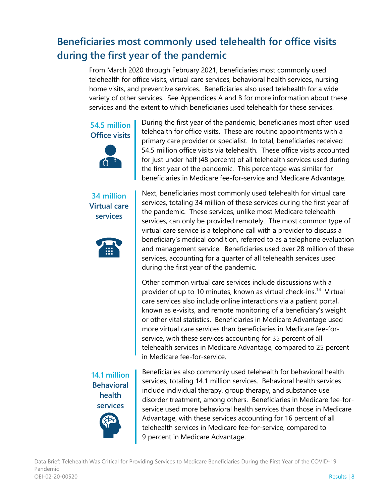# **Beneficiaries most commonly used telehealth for office visits during the first year of the pandemic**

From March 2020 through February 2021, beneficiaries most commonly used telehealth for office visits, virtual care services, behavioral health services, nursing home visits, and preventive services. Beneficiaries also used telehealth for a wide variety of other services. See Appendices A and B for more information about these services and the extent to which beneficiaries used telehealth for these services.

**54.5 million Office visits**



**34 million Virtual care services**



**14.1 million Behavioral health services**



During the first year of the pandemic, beneficiaries most often used telehealth for office visits. These are routine appointments with a primary care provider or specialist. In total, beneficiaries received 54.5 million office visits via telehealth. These office visits accounted for just under half (48 percent) of all telehealth services used during the first year of the pandemic. This percentage was similar for beneficiaries in Medicare fee-for-service and Medicare Advantage.

Next, beneficiaries most commonly used telehealth for virtual care services, totaling 34 million of these services during the first year of the pandemic. These services, unlike most Medicare telehealth services, can only be provided remotely. The most common type of virtual care service is a telephone call with a provider to discuss a beneficiary's medical condition, referred to as a telephone evaluation and management service. Beneficiaries used over 28 million of these services, accounting for a quarter of all telehealth services used during the first year of the pandemic.

Other common virtual care services include discussions with a provider of up to 10 minutes, known as virtual check-ins. [14](#page-18-13) Virtual care services also include online interactions via a patient portal, known as e-visits, and remote monitoring of a beneficiary's weight or other vital statistics. Beneficiaries in Medicare Advantage used more virtual care services than beneficiaries in Medicare fee-forservice, with these services accounting for 35 percent of all telehealth services in Medicare Advantage, compared to 25 percent in Medicare fee-for-service.

Beneficiaries also commonly used telehealth for behavioral health services, totaling 14.1 million services. Behavioral health services include individual therapy, group therapy, and substance use disorder treatment, among others. Beneficiaries in Medicare fee-forservice used more behavioral health services than those in Medicare Advantage, with these services accounting for 16 percent of all telehealth services in Medicare fee-for-service, compared to 9 percent in Medicare Advantage.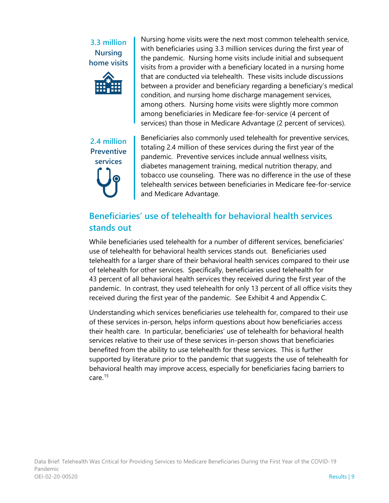#### **3.3 million Nursing home visits**



Nursing home visits were the next most common telehealth service, with beneficiaries using 3.3 million services during the first year of the pandemic. Nursing home visits include initial and subsequent visits from a provider with a beneficiary located in a nursing home that are conducted via telehealth. These visits include discussions between a provider and beneficiary regarding a beneficiary's medical condition, and nursing home discharge management services, among others. Nursing home visits were slightly more common among beneficiaries in Medicare fee-for-service (4 percent of services) than those in Medicare Advantage (2 percent of services).

**2.4 million Preventive services**

Beneficiaries also commonly used telehealth for preventive services, totaling 2.4 million of these services during the first year of the pandemic. Preventive services include annual wellness visits, diabetes management training, medical nutrition therapy, and tobacco use counseling. There was no difference in the use of these telehealth services between beneficiaries in Medicare fee-for-service and Medicare Advantage.

### **Beneficiaries' use of telehealth for behavioral health services stands out**

While beneficiaries used telehealth for a number of different services, beneficiaries' use of telehealth for behavioral health services stands out. Beneficiaries used telehealth for a larger share of their behavioral health services compared to their use of telehealth for other services. Specifically, beneficiaries used telehealth for 43 percent of all behavioral health services they received during the first year of the pandemic. In contrast, they used telehealth for only 13 percent of all office visits they received during the first year of the pandemic. See Exhibit 4 and Appendix C.

Understanding which services beneficiaries use telehealth for, compared to their use of these services in-person, helps inform questions about how beneficiaries access their health care. In particular, beneficiaries' use of telehealth for behavioral health services relative to their use of these services in-person shows that beneficiaries benefited from the ability to use telehealth for these services. This is further supported by literature prior to the pandemic that suggests the use of telehealth for behavioral health may improve access, especially for beneficiaries facing barriers to care.[15](#page-18-14)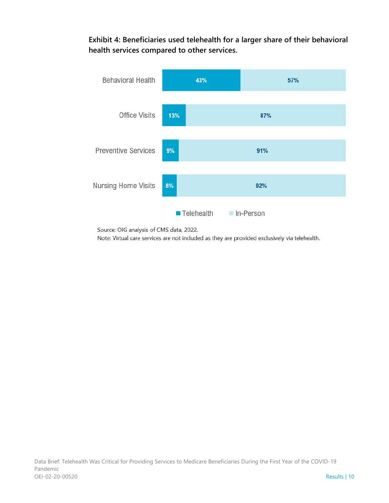**Exhibit 4: Beneficiaries used telehealth for a larger share of their behavioral health services compared to other services.** 



Source: OIG analysis of CMS data, 2022.

Note: Virtual care services are not included as they are provided exclusively via telehealth.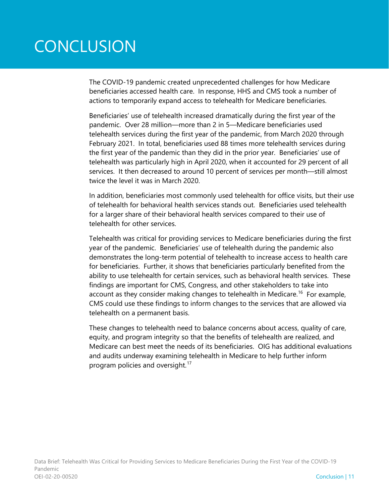# **CONCLUSION**

The COVID-19 pandemic created unprecedented challenges for how Medicare beneficiaries accessed health care. In response, HHS and CMS took a number of actions to temporarily expand access to telehealth for Medicare beneficiaries.

Beneficiaries' use of telehealth increased dramatically during the first year of the pandemic. Over 28 million—more than 2 in 5—Medicare beneficiaries used telehealth services during the first year of the pandemic, from March 2020 through February 2021. In total, beneficiaries used 88 times more telehealth services during the first year of the pandemic than they did in the prior year. Beneficiaries' use of telehealth was particularly high in April 2020, when it accounted for 29 percent of all services. It then decreased to around 10 percent of services per month—still almost twice the level it was in March 2020.

In addition, beneficiaries most commonly used telehealth for office visits, but their use of telehealth for behavioral health services stands out. Beneficiaries used telehealth for a larger share of their behavioral health services compared to their use of telehealth for other services.

Telehealth was critical for providing services to Medicare beneficiaries during the first year of the pandemic. Beneficiaries' use of telehealth during the pandemic also demonstrates the long-term potential of telehealth to increase access to health care for beneficiaries. Further, it shows that beneficiaries particularly benefited from the ability to use telehealth for certain services, such as behavioral health services. These findings are important for CMS, Congress, and other stakeholders to take into account as they consider making changes to telehealth in Medicare.<sup>16</sup> For example, CMS could use these findings to inform changes to the services that are allowed via telehealth on a permanent basis.

These changes to telehealth need to balance concerns about access, quality of care, equity, and program integrity so that the benefits of telehealth are realized, and Medicare can best meet the needs of its beneficiaries. OIG has additional evaluations and audits underway examining telehealth in Medicare to help further inform program policies and oversight.<sup>[17](#page-18-16)</sup>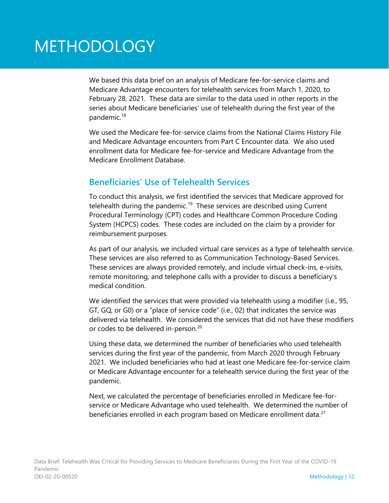# METHODOLOGY

We based this data brief on an analysis of Medicare fee-for-service claims and Medicare Advantage encounters for telehealth services from March 1, 2020, to February 28, 2021. These data are similar to the data used in other reports in the series about Medicare beneficiaries' use of telehealth during the first year of the pandemic.<sup>[18](#page-18-17)</sup>

We used the Medicare fee-for-service claims from the National Claims History File and Medicare Advantage encounters from Part C Encounter data. We also used enrollment data for Medicare fee-for-service and Medicare Advantage from the Medicare Enrollment Database.

#### **Beneficiaries' Use of Telehealth Services**

To conduct this analysis, we first identified the services that Medicare approved for telehealth during the pandemic.<sup>[19](#page-18-18)</sup> These services are described using Current Procedural Terminology (CPT) codes and Healthcare Common Procedure Coding System (HCPCS) codes. These codes are included on the claim by a provider for reimbursement purposes.

As part of our analysis, we included virtual care services as a type of telehealth service. These services are also referred to as Communication Technology-Based Services. These services are always provided remotely, and include virtual check-ins, e-visits, remote monitoring, and telephone calls with a provider to discuss a beneficiary's medical condition.

We identified the services that were provided via telehealth using a modifier (i.e., 95, GT, GQ, or G0) or a "place of service code" (i.e., 02) that indicates the service was delivered via telehealth. We considered the services that did not have these modifiers or codes to be delivered in-person.<sup>[20](#page-18-19)</sup>

Using these data, we determined the number of beneficiaries who used telehealth services during the first year of the pandemic, from March 2020 through February 2021. We included beneficiaries who had at least one Medicare fee-for-service claim or Medicare Advantage encounter for a telehealth service during the first year of the pandemic.

Next, we calculated the percentage of beneficiaries enrolled in Medicare fee-forservice or Medicare Advantage who used telehealth. We determined the number of beneficiaries enrolled in each program based on Medicare enrollment data.<sup>21</sup>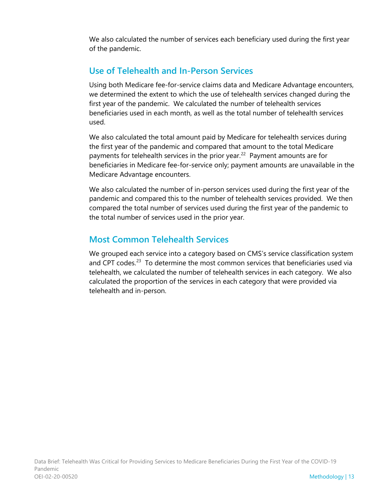We also calculated the number of services each beneficiary used during the first year of the pandemic.

#### **Use of Telehealth and In-Person Services**

Using both Medicare fee-for-service claims data and Medicare Advantage encounters, we determined the extent to which the use of telehealth services changed during the first year of the pandemic. We calculated the number of telehealth services beneficiaries used in each month, as well as the total number of telehealth services used.

We also calculated the total amount paid by Medicare for telehealth services during the first year of the pandemic and compared that amount to the total Medicare payments for telehealth services in the prior year.<sup>22</sup> Payment amounts are for beneficiaries in Medicare fee-for-service only; payment amounts are unavailable in the Medicare Advantage encounters.

We also calculated the number of in-person services used during the first year of the pandemic and compared this to the number of telehealth services provided. We then compared the total number of services used during the first year of the pandemic to the total number of services used in the prior year.

#### **Most Common Telehealth Services**

We grouped each service into a category based on CMS's service classification system and CPT codes.<sup>[23](#page-18-22)</sup> To determine the most common services that beneficiaries used via telehealth, we calculated the number of telehealth services in each category. We also calculated the proportion of the services in each category that were provided via telehealth and in-person.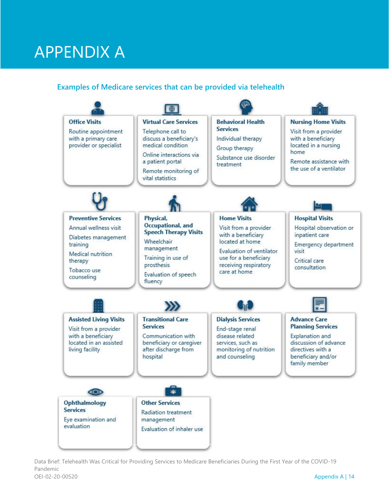# APPENDIX A

#### **Examples of Medicare services that can be provided via telehealth**



Data Brief: Telehealth Was Critical for Providing Services to Medicare Beneficiaries During the First Year of the COVID-19 Pandemic OEI-02-20-00520 Appendix A | 14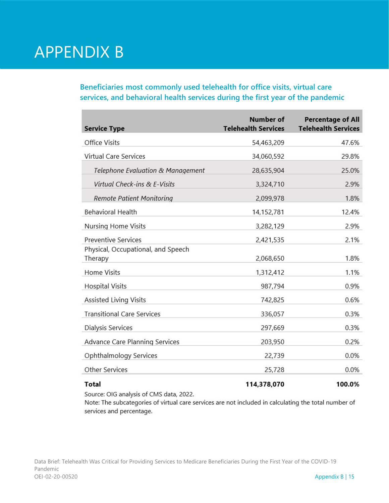# APPENDIX B

**Beneficiaries most commonly used telehealth for office visits, virtual care services, and behavioral health services during the first year of the pandemic**

| <b>Service Type</b>                           | Number of<br><b>Telehealth Services</b> | <b>Percentage of All</b><br><b>Telehealth Services</b> |
|-----------------------------------------------|-----------------------------------------|--------------------------------------------------------|
| Office Visits                                 | 54,463,209                              | 47.6%                                                  |
| <b>Virtual Care Services</b>                  | 34,060,592                              | 29.8%                                                  |
| Telephone Evaluation & Management             | 28,635,904                              | 25.0%                                                  |
| Virtual Check-ins & E-Visits                  | 3,324,710                               | 2.9%                                                   |
| Remote Patient Monitoring                     | 2,099,978                               | 1.8%                                                   |
| <b>Behavioral Health</b>                      | 14,152,781                              | 12.4%                                                  |
| Nursing Home Visits                           | 3,282,129                               | 2.9%                                                   |
| <b>Preventive Services</b>                    | 2,421,535                               | 2.1%                                                   |
| Physical, Occupational, and Speech<br>Therapy | 2,068,650                               | 1.8%                                                   |
| Home Visits                                   | 1,312,412                               | 1.1%                                                   |
| <b>Hospital Visits</b>                        | 987,794                                 | 0.9%                                                   |
| <b>Assisted Living Visits</b>                 | 742,825                                 | 0.6%                                                   |
| <b>Transitional Care Services</b>             | 336,057                                 | 0.3%                                                   |
| <b>Dialysis Services</b>                      | 297,669                                 | 0.3%                                                   |
| Advance Care Planning Services                | 203,950                                 | 0.2%                                                   |
| Ophthalmology Services                        | 22,739                                  | 0.0%                                                   |
| <b>Other Services</b>                         | 25,728                                  | 0.0%                                                   |
| <b>Total</b>                                  | 114,378,070                             | 100.0%                                                 |

Source: OIG analysis of CMS data, 2022.

Note: The subcategories of virtual care services are not included in calculating the total number of services and percentage.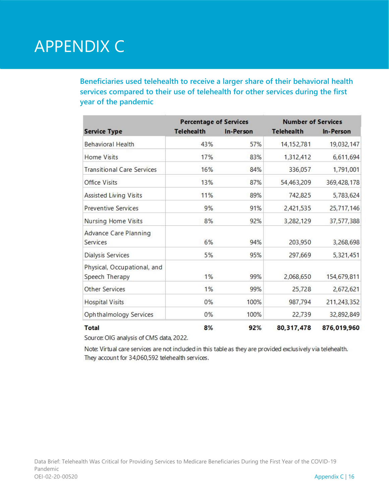# APPENDIX C

**Beneficiaries used telehealth to receive a larger share of their behavioral health services compared to their use of telehealth for other services during the first year of the pandemic** 

|                                   | <b>Percentage of Services</b> |           | <b>Number of Services</b> |             |
|-----------------------------------|-------------------------------|-----------|---------------------------|-------------|
| <b>Service Type</b>               | <b>Telehealth</b>             | In-Person | <b>Telehealth</b>         | In-Person   |
| <b>Behavioral Health</b>          | 43%                           | 57%       | 14, 152, 781              | 19,032,147  |
| Home Visits                       | 17%                           | 83%       | 1,312,412                 | 6,611,694   |
| <b>Transitional Care Services</b> | 16%                           | 84%       | 336,057                   | 1,791,001   |
| <b>Office Visits</b>              | 13%                           | 87%       | 54,463,209                | 369,428,178 |
| <b>Assisted Living Visits</b>     | 11%                           | 89%       | 742,825                   | 5,783,624   |
| <b>Preventive Services</b>        | 9%                            | 91%       | 2,421,535                 | 25,717,146  |
| <b>Nursing Home Visits</b>        | 8%                            | 92%       | 3,282,129                 | 37,577,388  |
| <b>Advance Care Planning</b>      |                               |           |                           |             |
| <b>Services</b>                   | 6%                            | 94%       | 203,950                   | 3,268,698   |
| <b>Dialysis Services</b>          | 5%                            | 95%       | 297,669                   | 5,321,451   |
| Physical, Occupational, and       |                               |           |                           |             |
| Speech Therapy                    | 1%                            | 99%       | 2,068,650                 | 154,679,811 |
| <b>Other Services</b>             | 1%                            | 99%       | 25,728                    | 2,672,621   |
| <b>Hospital Visits</b>            | 0%                            | 100%      | 987,794                   | 211,243,352 |
| Ophthalmology Services            | $0\%$                         | 100%      | 22,739                    | 32,892,849  |
| <b>Total</b>                      | 8%                            | 92%       | 80, 317, 478              | 876,019,960 |

Source: OIG analysis of CMS data, 2022.

Note: Virtual care services are not included in this table as they are provided exclusively via telehealth. They account for 34,060,592 telehealth services.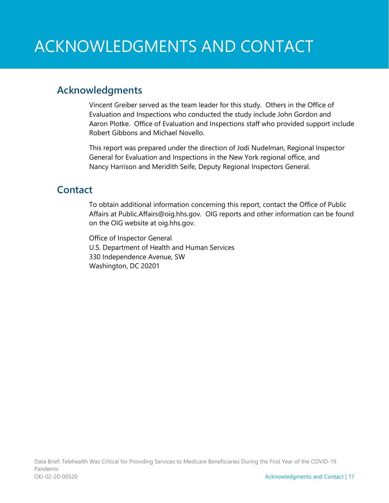### **Acknowledgments**

Vincent Greiber served as the team leader for this study. Others in the Office of Evaluation and Inspections who conducted the study include John Gordon and Aaron Plotke. Office of Evaluation and Inspections staff who provided support include Robert Gibbons and Michael Novello.

This report was prepared under the direction of Jodi Nudelman, Regional Inspector General for Evaluation and Inspections in the New York regional office, and Nancy Harrison and Meridith Seife, Deputy Regional Inspectors General.

### **Contact**

To obtain additional information concerning this report, contact the Office of Public Affairs at [Public.Affairs@oig.hhs.gov.](mailto:Public.Affairs@oig.hhs.gov) OIG reports and other information can be found on the OIG website at [oig.hhs.gov.](https://oig.hhs.gov/) 

Office of Inspector General U.S. Department of Health and Human Services 330 Independence Avenue, SW Washington, DC 20201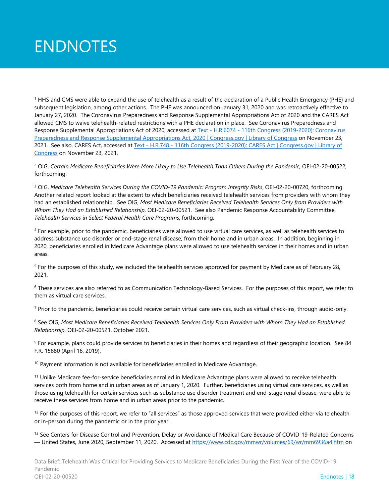# ENDNOTES

<sup>1</sup> HHS and CMS were able to expand the use of telehealth as a result of the declaration of a Public Health Emergency (PHE) and subsequent legislation, among other actions. The PHE was announced on January 31, 2020 and was retroactively effective to January 27, 2020. The Coronavirus Preparedness and Response Supplemental Appropriations Act of 2020 and the CARES Act allowed CMS to waive telehealth-related restrictions with a PHE declaration in place. See Coronavirus Preparedness and Response Supplemental Appropriations Act of 2020, accessed at Text - H.R.6074 - 116th Congress (2019-2020): Coronavirus [Preparedness and Response Supplemental Appropriations Act, 2020 | Congress.gov | Library of Congress](https://www.congress.gov/bill/116th-congress/house-bill/6074) on November 23, 2021. See also, CARES Act, accessed at Text - H.R.748 - [116th Congress \(2019-2020\): CARES Act | Congress.gov | Library of](https://www.congress.gov/bill/116th-congress/house-bill/748/text)  [Congress](https://www.congress.gov/bill/116th-congress/house-bill/748/text) on November 23, 2021.

<sup>2</sup> OIG, *Certain Medicare Beneficiaries Were More Likely to Use Telehealth Than Others During the Pandemic*, OEI-02-20-00522, forthcoming.

<sup>3</sup> OIG, *Medicare Telehealth Services During the COVID-19 Pandemic: Program Integrity Risks*, OEI-02-20-00720, forthcoming. Another related report looked at the extent to which beneficiaries received telehealth services from providers with whom they had an established relationship. See OIG, *Most Medicare Beneficiaries Received Telehealth Services Only from Providers with Whom They Had an Established Relationship*, OEI-02-20-00521. See also Pandemic Response Accountability Committee, *Telehealth Services in Select Federal Health Care Programs*, forthcoming.

<sup>4</sup> For example, prior to the pandemic, beneficiaries were allowed to use virtual care services, as well as telehealth services to address substance use disorder or end-stage renal disease, from their home and in urban areas. In addition, beginning in 2020, beneficiaries enrolled in Medicare Advantage plans were allowed to use telehealth services in their homes and in urban areas

<sup>5</sup> For the purposes of this study, we included the telehealth services approved for payment by Medicare as of February 28, 2021.

<sup>6</sup> These services are also referred to as Communication Technology-Based Services. For the purposes of this report, we refer to them as virtual care services.

 $7$  Prior to the pandemic, beneficiaries could receive certain virtual care services, such as virtual check-ins, through audio-only.

<sup>8</sup> See OIG, *Most Medicare Beneficiaries Received Telehealth Services Only From Providers with Whom They Had an Established Relationship*, OEI-02-20-00521, October 2021.

<sup>9</sup> For example, plans could provide services to beneficiaries in their homes and regardless of their geographic location. See 84 F.R. 15680 (April 16, 2019).

 $10$  Payment information is not available for beneficiaries enrolled in Medicare Advantage.

<sup>11</sup> Unlike Medicare fee-for-service beneficiaries enrolled in Medicare Advantage plans were allowed to receive telehealth services both from home and in urban areas as of January 1, 2020. Further, beneficiaries using virtual care services, as well as those using telehealth for certain services such as substance use disorder treatment and end-stage renal disease, were able to receive these services from home and in urban areas prior to the pandemic.

 $12$  For the purposes of this report, we refer to "all services" as those approved services that were provided either via telehealth or in-person during the pandemic or in the prior year.

<sup>13</sup> See Centers for Disease Control and Prevention, Delay or Avoidance of Medical Care Because of COVID-19-Related Concerns — United States, June 2020, September 11, 2020. Accessed a[t https://www.cdc.gov/mmwr/volumes/69/wr/mm6936a4.htm](https://www.cdc.gov/mmwr/volumes/69/wr/mm6936a4.htm) on